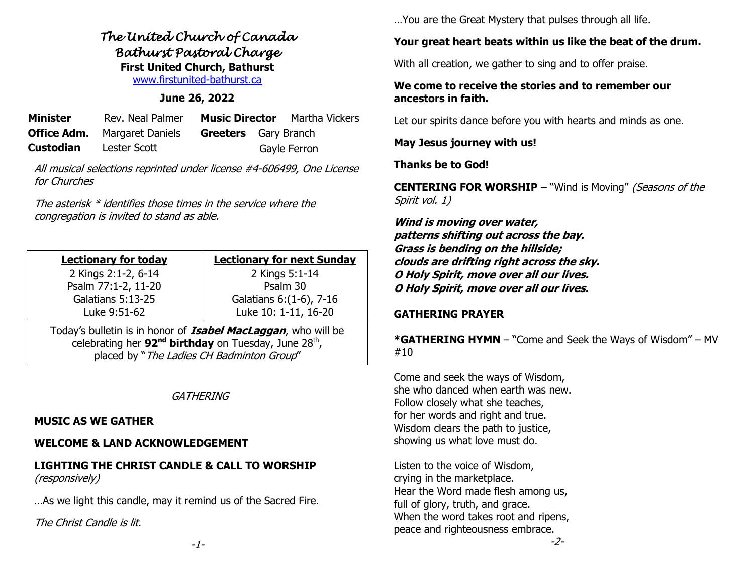*The United Church of Canada Bathurst Pastoral Charge*  **First United Church, Bathurst** [www.firstunited-bathurst.ca](http://www.firstunited-bathurst.ca/)

#### **June 26, 2022**

| <b>Minister</b>               | Rev. Neal Palmer                                                |  | <b>Music Director</b> Martha Vickers |
|-------------------------------|-----------------------------------------------------------------|--|--------------------------------------|
|                               | <b>Office Adm.</b> Margaret Daniels <b>Greeters</b> Gary Branch |  |                                      |
| <b>Custodian</b> Lester Scott |                                                                 |  | Gayle Ferron                         |

All musical selections reprinted under license #4-606499, One License for Churches

The asterisk \* identifies those times in the service where the congregation is invited to stand as able.

| <b>Lectionary for today</b>                                                                                                                            | <b>Lectionary for next Sunday</b> |  |  |  |
|--------------------------------------------------------------------------------------------------------------------------------------------------------|-----------------------------------|--|--|--|
| 2 Kings 2:1-2, 6-14                                                                                                                                    | 2 Kings 5:1-14                    |  |  |  |
| Psalm 77:1-2, 11-20                                                                                                                                    | Psalm 30                          |  |  |  |
| Galatians 5:13-25                                                                                                                                      | Galatians 6: (1-6), 7-16          |  |  |  |
| Luke 9:51-62                                                                                                                                           | Luke 10: 1-11, 16-20              |  |  |  |
| Today's bulletin is in honor of <b>Isabel MacLaggan</b> , who will be<br>celebrating her 92 <sup>nd</sup> birthday on Tuesday, June 28 <sup>th</sup> , |                                   |  |  |  |

placed by "The Ladies CH Badminton Group"

#### **GATHERING**

#### **MUSIC AS WE GATHER**

#### **WELCOME & LAND ACKNOWLEDGEMENT**

#### **LIGHTING THE CHRIST CANDLE & CALL TO WORSHIP**  (responsively)

…As we light this candle, may it remind us of the Sacred Fire.

The Christ Candle is lit.

…You are the Great Mystery that pulses through all life.

# **Your great heart beats within us like the beat of the drum.**

With all creation, we gather to sing and to offer praise.

#### **We come to receive the stories and to remember our ancestors in faith.**

Let our spirits dance before you with hearts and minds as one.

**May Jesus journey with us!**

**Thanks be to God!**

**CENTERING FOR WORSHIP** – "Wind is Moving" (Seasons of the Spirit vol. 1)

**Wind is moving over water, patterns shifting out across the bay. Grass is bending on the hillside; clouds are drifting right across the sky. O Holy Spirit, move over all our lives. O Holy Spirit, move over all our lives.** 

# **GATHERING PRAYER**

**\*GATHERING HYMN** – "Come and Seek the Ways of Wisdom" – MV #10

Come and seek the ways of Wisdom, she who danced when earth was new. Follow closely what she teaches, for her words and right and true. Wisdom clears the path to justice, showing us what love must do.

Listen to the voice of Wisdom, crying in the marketplace. Hear the Word made flesh among us, full of glory, truth, and grace. When the word takes root and ripens, peace and righteousness embrace.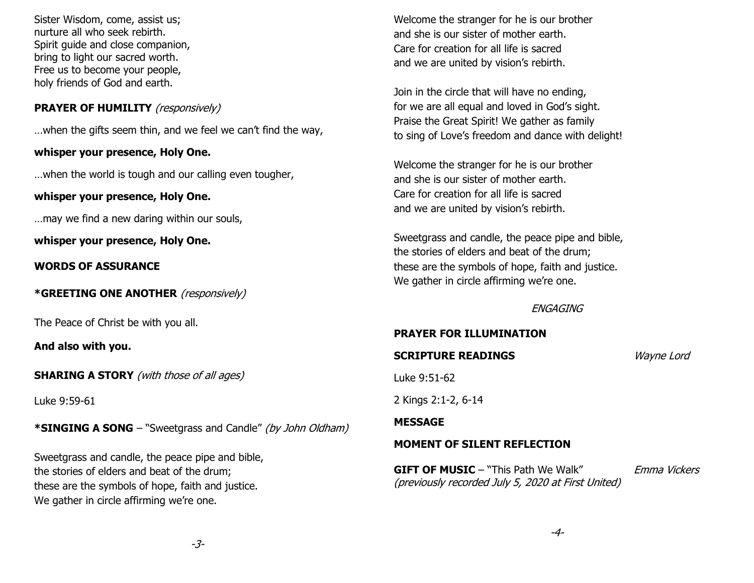Sister Wisdom, come, assist us; nurture all who seek rebirth. Spirit guide and close companion, bring to light our sacred worth. Free us to become your people, holy friends of God and earth.

## **PRAYER OF HUMILITY** (responsively)

…when the gifts seem thin, and we feel we can't find the way,

#### **whisper your presence, Holy One.**

…when the world is tough and our calling even tougher,

#### **whisper your presence, Holy One.**

…may we find a new daring within our souls,

**whisper your presence, Holy One.**

**WORDS OF ASSURANCE**

**\*GREETING ONE ANOTHER** (responsively)

The Peace of Christ be with you all.

**And also with you.**

**SHARING A STORY** (with those of all ages)

Luke 9:59-61

**\*SINGING A SONG** – "Sweetgrass and Candle" (by John Oldham)

Sweetgrass and candle, the peace pipe and bible, the stories of elders and beat of the drum; these are the symbols of hope, faith and justice. We gather in circle affirming we're one.

Welcome the stranger for he is our brother and she is our sister of mother earth. Care for creation for all life is sacred and we are united by vision's rebirth.

Join in the circle that will have no ending, for we are all equal and loved in God's sight. Praise the Great Spirit! We gather as family to sing of Love's freedom and dance with delight!

Welcome the stranger for he is our brother and she is our sister of mother earth. Care for creation for all life is sacred and we are united by vision's rebirth.

Sweetgrass and candle, the peace pipe and bible, the stories of elders and beat of the drum; these are the symbols of hope, faith and justice. We gather in circle affirming we're one.

# **ENGAGING**

#### **PRAYER FOR ILLUMINATION**

# **SCRIPTURE READINGS** *Wayne Lord*

Luke 9:51-62

2 Kings 2:1-2, 6-14

# **MESSAGE**

# **MOMENT OF SILENT REFLECTION**

**GIFT OF MUSIC** – "This Path We Walk" Emma Vickers (previously recorded July 5, 2020 at First United)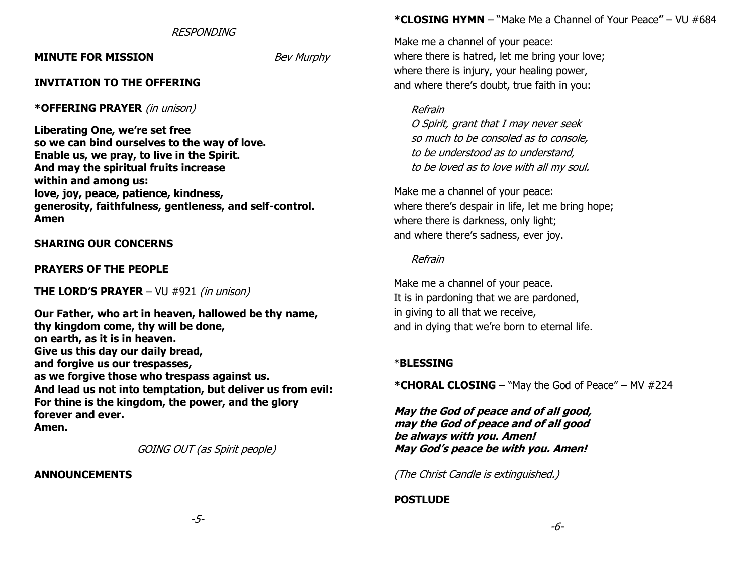RESPONDING

**MINUTE FOR MISSION** *Bev Murphy* 

#### **INVITATION TO THE OFFERING**

#### **\*OFFERING PRAYER** (in unison)

**Liberating One, we're set free so we can bind ourselves to the way of love. Enable us, we pray, to live in the Spirit. And may the spiritual fruits increase within and among us: love, joy, peace, patience, kindness, generosity, faithfulness, gentleness, and self-control. Amen**

#### **SHARING OUR CONCERNS**

#### **PRAYERS OF THE PEOPLE**

**THE LORD'S PRAYER** – VU #921 (in unison)

**Our Father, who art in heaven, hallowed be thy name, thy kingdom come, thy will be done, on earth, as it is in heaven. Give us this day our daily bread, and forgive us our trespasses, as we forgive those who trespass against us. And lead us not into temptation, but deliver us from evil: For thine is the kingdom, the power, and the glory forever and ever. Amen.**

GOING OUT (as Spirit people)

#### **ANNOUNCEMENTS**

#### **\*CLOSING HYMN** – "Make Me a Channel of Your Peace" – VU #684

Make me a channel of your peace: where there is hatred, let me bring your love; where there is injury, your healing power, and where there's doubt, true faith in you:

#### Refrain

O Spirit, grant that I may never seek so much to be consoled as to console, to be understood as to understand, to be loved as to love with all my soul.

Make me a channel of your peace: where there's despair in life, let me bring hope; where there is darkness, only light; and where there's sadness, ever joy.

#### Refrain

Make me a channel of your peace. It is in pardoning that we are pardoned, in giving to all that we receive, and in dying that we're born to eternal life.

#### \***BLESSING**

**\*CHORAL CLOSING** – "May the God of Peace" – MV #224

**May the God of peace and of all good, may the God of peace and of all good be always with you. Amen! May God's peace be with you. Amen!**

(The Christ Candle is extinguished.)

# **POSTLUDE**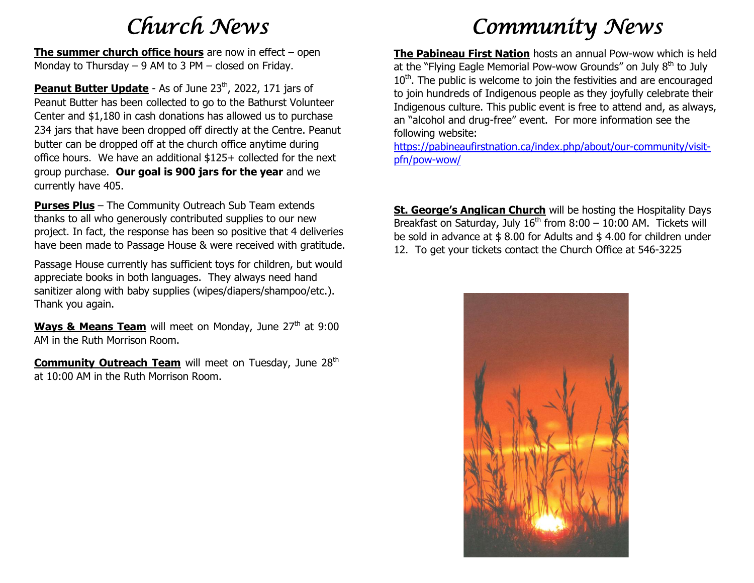# *Church News*

**The summer church office hours** are now in effect – open Monday to Thursday – 9 AM to 3 PM – closed on Friday.

**Peanut Butter Update** - As of June 23<sup>th</sup>, 2022, 171 jars of Peanut Butter has been collected to go to the Bathurst Volunteer Center and \$1,180 in cash donations has allowed us to purchase 234 jars that have been dropped off directly at the Centre. Peanut butter can be dropped off at the church office anytime during office hours. We have an additional \$125+ collected for the next group purchase. **Our goal is 900 jars for the year** and we currently have 405.

**Purses Plus** – The Community Outreach Sub Team extends thanks to all who generously contributed supplies to our new project. In fact, the response has been so positive that 4 deliveries have been made to Passage House & were received with gratitude.

Passage House currently has sufficient toys for children, but would appreciate books in both languages. They always need hand sanitizer along with baby supplies (wipes/diapers/shampoo/etc.). Thank you again.

Ways & Means Team will meet on Monday, June 27<sup>th</sup> at 9:00 AM in the Ruth Morrison Room.

**Community Outreach Team** will meet on Tuesday, June 28<sup>th</sup> at 10:00 AM in the Ruth Morrison Room.

# *Community News*

**The Pabineau First Nation** hosts an annual Pow-wow which is held at the "Flying Eagle Memorial Pow-wow Grounds" on July 8<sup>th</sup> to July  $10<sup>th</sup>$ . The public is welcome to join the festivities and are encouraged to join hundreds of Indigenous people as they joyfully celebrate their Indigenous culture. This public event is free to attend and, as always, an "alcohol and drug-free" event. For more information see the following website:

[https://pabineaufirstnation.ca/index.php/about/our-community/visit](https://pabineaufirstnation.ca/index.php/about/our-community/visit-pfn/pow-wow/)[pfn/pow-wow/](https://pabineaufirstnation.ca/index.php/about/our-community/visit-pfn/pow-wow/)

**St. George's Anglican Church** will be hosting the Hospitality Days Breakfast on Saturday, July  $16<sup>th</sup>$  from  $8:00 - 10:00$  AM. Tickets will be sold in advance at \$ 8.00 for Adults and \$ 4.00 for children under 12. To get your tickets contact the Church Office at 546-3225